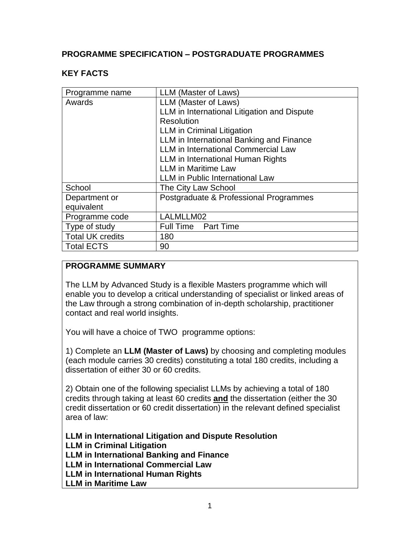### **PROGRAMME SPECIFICATION – POSTGRADUATE PROGRAMMES**

### **KEY FACTS**

| Programme name          | LLM (Master of Laws)                        |
|-------------------------|---------------------------------------------|
| Awards                  | LLM (Master of Laws)                        |
|                         | LLM in International Litigation and Dispute |
|                         | Resolution                                  |
|                         | <b>LLM</b> in Criminal Litigation           |
|                         | LLM in International Banking and Finance    |
|                         | <b>LLM</b> in International Commercial Law  |
|                         | LLM in International Human Rights           |
|                         | <b>LLM</b> in Maritime Law                  |
|                         | <b>LLM</b> in Public International Law      |
| School                  | The City Law School                         |
| Department or           | Postgraduate & Professional Programmes      |
| equivalent              |                                             |
| Programme code          | LALMLLM02                                   |
| Type of study           | <b>Full Time Part Time</b>                  |
| <b>Total UK credits</b> | 180                                         |
| <b>Total ECTS</b>       | 90                                          |
|                         |                                             |

### **PROGRAMME SUMMARY**

The LLM by Advanced Study is a flexible Masters programme which will enable you to develop a critical understanding of specialist or linked areas of the Law through a strong combination of in-depth scholarship, practitioner contact and real world insights.

You will have a choice of TWO programme options:

1) Complete an **LLM (Master of Laws)** by choosing and completing modules (each module carries 30 credits) constituting a total 180 credits, including a dissertation of either 30 or 60 credits.

2) Obtain one of the following specialist LLMs by achieving a total of 180 credits through taking at least 60 credits **and** the dissertation (either the 30 credit dissertation or 60 credit dissertation) in the relevant defined specialist area of law:

**LLM in International Litigation and Dispute Resolution**

**LLM in Criminal Litigation**

**LLM in International Banking and Finance**

**LLM in International Commercial Law**

**LLM in International Human Rights**

**LLM in Maritime Law**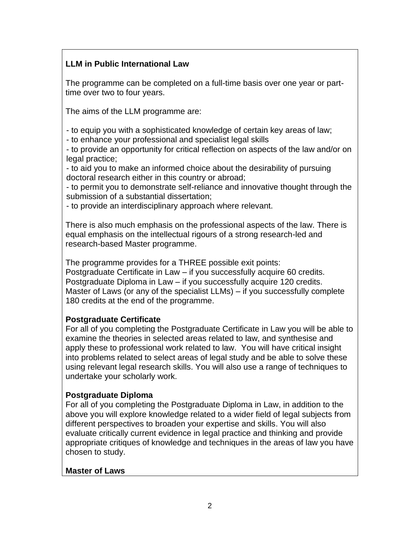## **LLM in Public International Law**

The programme can be completed on a full-time basis over one year or parttime over two to four years.

The aims of the LLM programme are:

- to equip you with a sophisticated knowledge of certain key areas of law;

- to enhance your professional and specialist legal skills

- to provide an opportunity for critical reflection on aspects of the law and/or on legal practice;

- to aid you to make an informed choice about the desirability of pursuing doctoral research either in this country or abroad;

- to permit you to demonstrate self-reliance and innovative thought through the submission of a substantial dissertation;

- to provide an interdisciplinary approach where relevant.

There is also much emphasis on the professional aspects of the law. There is equal emphasis on the intellectual rigours of a strong research-led and research-based Master programme.

The programme provides for a THREE possible exit points: Postgraduate Certificate in Law – if you successfully acquire 60 credits. Postgraduate Diploma in Law – if you successfully acquire 120 credits. Master of Laws (or any of the specialist LLMs) – if you successfully complete 180 credits at the end of the programme.

## **Postgraduate Certificate**

For all of you completing the Postgraduate Certificate in Law you will be able to examine the theories in selected areas related to law, and synthesise and apply these to professional work related to law. You will have critical insight into problems related to select areas of legal study and be able to solve these using relevant legal research skills. You will also use a range of techniques to undertake your scholarly work.

## **Postgraduate Diploma**

For all of you completing the Postgraduate Diploma in Law, in addition to the above you will explore knowledge related to a wider field of legal subjects from different perspectives to broaden your expertise and skills. You will also evaluate critically current evidence in legal practice and thinking and provide appropriate critiques of knowledge and techniques in the areas of law you have chosen to study.

### **Master of Laws**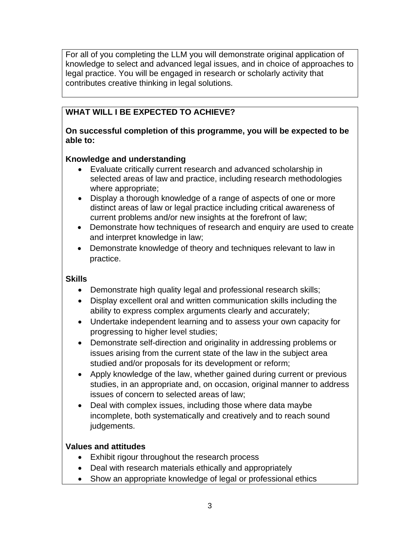For all of you completing the LLM you will demonstrate original application of knowledge to select and advanced legal issues, and in choice of approaches to legal practice. You will be engaged in research or scholarly activity that contributes creative thinking in legal solutions.

## **WHAT WILL I BE EXPECTED TO ACHIEVE?**

### **On successful completion of this programme, you will be expected to be able to:**

### **Knowledge and understanding**

- Evaluate critically current research and advanced scholarship in selected areas of law and practice, including research methodologies where appropriate;
- Display a thorough knowledge of a range of aspects of one or more distinct areas of law or legal practice including critical awareness of current problems and/or new insights at the forefront of law;
- Demonstrate how techniques of research and enquiry are used to create and interpret knowledge in law;
- Demonstrate knowledge of theory and techniques relevant to law in practice.

### **Skills**

- Demonstrate high quality legal and professional research skills;
- Display excellent oral and written communication skills including the ability to express complex arguments clearly and accurately;
- Undertake independent learning and to assess your own capacity for progressing to higher level studies;
- Demonstrate self-direction and originality in addressing problems or issues arising from the current state of the law in the subject area studied and/or proposals for its development or reform;
- Apply knowledge of the law, whether gained during current or previous studies, in an appropriate and, on occasion, original manner to address issues of concern to selected areas of law;
- Deal with complex issues, including those where data maybe incomplete, both systematically and creatively and to reach sound judgements.

### **Values and attitudes**

- Exhibit rigour throughout the research process
- Deal with research materials ethically and appropriately
- Show an appropriate knowledge of legal or professional ethics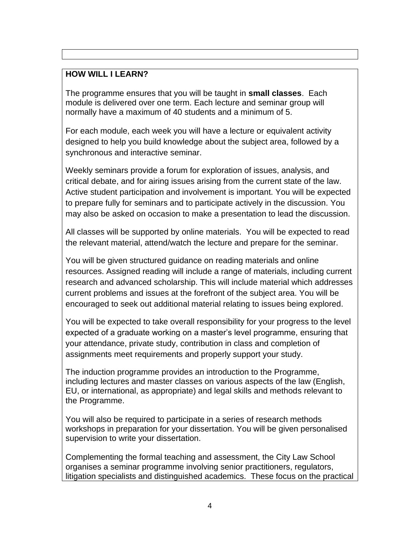### **HOW WILL I LEARN?**

The programme ensures that you will be taught in **small classes**. Each module is delivered over one term. Each lecture and seminar group will normally have a maximum of 40 students and a minimum of 5.

For each module, each week you will have a lecture or equivalent activity designed to help you build knowledge about the subject area, followed by a synchronous and interactive seminar.

Weekly seminars provide a forum for exploration of issues, analysis, and critical debate, and for airing issues arising from the current state of the law. Active student participation and involvement is important. You will be expected to prepare fully for seminars and to participate actively in the discussion. You may also be asked on occasion to make a presentation to lead the discussion.

All classes will be supported by online materials. You will be expected to read the relevant material, attend/watch the lecture and prepare for the seminar.

You will be given structured guidance on reading materials and online resources. Assigned reading will include a range of materials, including current research and advanced scholarship. This will include material which addresses current problems and issues at the forefront of the subject area. You will be encouraged to seek out additional material relating to issues being explored.

You will be expected to take overall responsibility for your progress to the level expected of a graduate working on a master's level programme, ensuring that your attendance, private study, contribution in class and completion of assignments meet requirements and properly support your study.

The induction programme provides an introduction to the Programme, including lectures and master classes on various aspects of the law (English, EU, or international, as appropriate) and legal skills and methods relevant to the Programme.

You will also be required to participate in a series of research methods workshops in preparation for your dissertation. You will be given personalised supervision to write your dissertation.

Complementing the formal teaching and assessment, the City Law School organises a seminar programme involving senior practitioners, regulators, litigation specialists and distinguished academics. These focus on the practical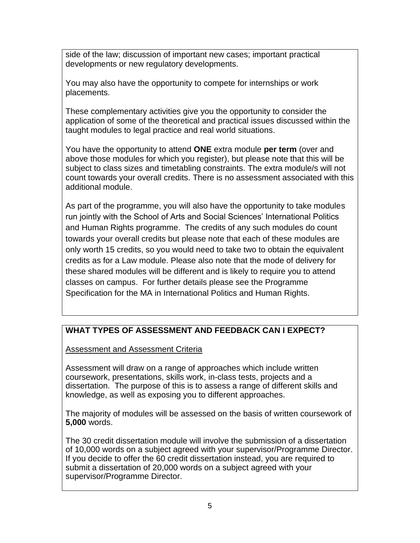side of the law; discussion of important new cases; important practical developments or new regulatory developments.

You may also have the opportunity to compete for internships or work placements.

These complementary activities give you the opportunity to consider the application of some of the theoretical and practical issues discussed within the taught modules to legal practice and real world situations.

You have the opportunity to attend **ONE** extra module **per term** (over and above those modules for which you register), but please note that this will be subject to class sizes and timetabling constraints. The extra module/s will not count towards your overall credits. There is no assessment associated with this additional module.

As part of the programme, you will also have the opportunity to take modules run jointly with the School of Arts and Social Sciences' International Politics and Human Rights programme. The credits of any such modules do count towards your overall credits but please note that each of these modules are only worth 15 credits, so you would need to take two to obtain the equivalent credits as for a Law module. Please also note that the mode of delivery for these shared modules will be different and is likely to require you to attend classes on campus. For further details please see the Programme Specification for the MA in International Politics and Human Rights.

# **WHAT TYPES OF ASSESSMENT AND FEEDBACK CAN I EXPECT?**

Assessment and Assessment Criteria

Assessment will draw on a range of approaches which include written coursework, presentations, skills work, in-class tests, projects and a dissertation. The purpose of this is to assess a range of different skills and knowledge, as well as exposing you to different approaches.

The majority of modules will be assessed on the basis of written coursework of **5,000** words.

The 30 credit dissertation module will involve the submission of a dissertation of 10,000 words on a subject agreed with your supervisor/Programme Director. If you decide to offer the 60 credit dissertation instead, you are required to submit a dissertation of 20,000 words on a subject agreed with your supervisor/Programme Director.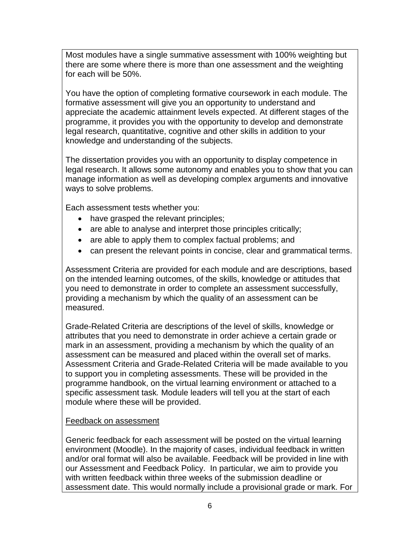Most modules have a single summative assessment with 100% weighting but there are some where there is more than one assessment and the weighting for each will be 50%.

You have the option of completing formative coursework in each module. The formative assessment will give you an opportunity to understand and appreciate the academic attainment levels expected. At different stages of the programme, it provides you with the opportunity to develop and demonstrate legal research, quantitative, cognitive and other skills in addition to your knowledge and understanding of the subjects.

The dissertation provides you with an opportunity to display competence in legal research. It allows some autonomy and enables you to show that you can manage information as well as developing complex arguments and innovative ways to solve problems.

Each assessment tests whether you:

- have grasped the relevant principles;
- are able to analyse and interpret those principles critically;
- are able to apply them to complex factual problems; and
- can present the relevant points in concise, clear and grammatical terms.

Assessment Criteria are provided for each module and are descriptions, based on the intended learning outcomes, of the skills, knowledge or attitudes that you need to demonstrate in order to complete an assessment successfully, providing a mechanism by which the quality of an assessment can be measured.

Grade-Related Criteria are descriptions of the level of skills, knowledge or attributes that you need to demonstrate in order achieve a certain grade or mark in an assessment, providing a mechanism by which the quality of an assessment can be measured and placed within the overall set of marks. Assessment Criteria and Grade-Related Criteria will be made available to you to support you in completing assessments. These will be provided in the programme handbook, on the virtual learning environment or attached to a specific assessment task*.* Module leaders will tell you at the start of each module where these will be provided.

#### Feedback on assessment

Generic feedback for each assessment will be posted on the virtual learning environment (Moodle). In the majority of cases, individual feedback in written and/or oral format will also be available. Feedback will be provided in line with our Assessment and Feedback Policy. In particular, we aim to provide you with written feedback within three weeks of the submission deadline or assessment date. This would normally include a provisional grade or mark. For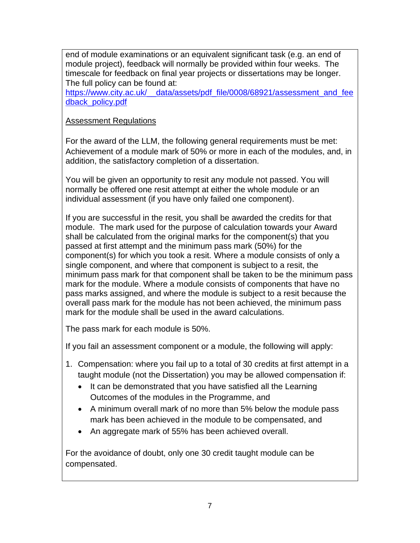end of module examinations or an equivalent significant task (e.g. an end of module project), feedback will normally be provided within four weeks. The timescale for feedback on final year projects or dissertations may be longer. The full policy can be found at:

https://www.city.ac.uk/ data/assets/pdf file/0008/68921/assessment and fee [dback\\_policy.pdf](https://www.city.ac.uk/__data/assets/pdf_file/0008/68921/assessment_and_feedback_policy.pdf)

### Assessment Regulations

For the award of the LLM, the following general requirements must be met: Achievement of a module mark of 50% or more in each of the modules, and, in addition, the satisfactory completion of a dissertation.

You will be given an opportunity to resit any module not passed. You will normally be offered one resit attempt at either the whole module or an individual assessment (if you have only failed one component).

If you are successful in the resit, you shall be awarded the credits for that module. The mark used for the purpose of calculation towards your Award shall be calculated from the original marks for the component(s) that you passed at first attempt and the minimum pass mark (50%) for the component(s) for which you took a resit. Where a module consists of only a single component, and where that component is subject to a resit, the minimum pass mark for that component shall be taken to be the minimum pass mark for the module. Where a module consists of components that have no pass marks assigned, and where the module is subject to a resit because the overall pass mark for the module has not been achieved, the minimum pass mark for the module shall be used in the award calculations.

The pass mark for each module is 50%.

If you fail an assessment component or a module, the following will apply:

- 1. Compensation: where you fail up to a total of 30 credits at first attempt in a taught module (not the Dissertation) you may be allowed compensation if:
	- It can be demonstrated that you have satisfied all the Learning Outcomes of the modules in the Programme, and
	- A minimum overall mark of no more than 5% below the module pass mark has been achieved in the module to be compensated, and
	- An aggregate mark of 55% has been achieved overall.

For the avoidance of doubt, only one 30 credit taught module can be compensated.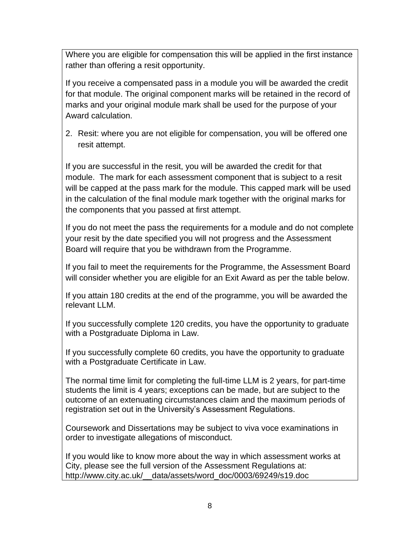Where you are eligible for compensation this will be applied in the first instance rather than offering a resit opportunity.

If you receive a compensated pass in a module you will be awarded the credit for that module. The original component marks will be retained in the record of marks and your original module mark shall be used for the purpose of your Award calculation.

2. Resit: where you are not eligible for compensation, you will be offered one resit attempt.

If you are successful in the resit, you will be awarded the credit for that module. The mark for each assessment component that is subject to a resit will be capped at the pass mark for the module. This capped mark will be used in the calculation of the final module mark together with the original marks for the components that you passed at first attempt.

If you do not meet the pass the requirements for a module and do not complete your resit by the date specified you will not progress and the Assessment Board will require that you be withdrawn from the Programme.

If you fail to meet the requirements for the Programme, the Assessment Board will consider whether you are eligible for an Exit Award as per the table below.

If you attain 180 credits at the end of the programme, you will be awarded the relevant LLM.

If you successfully complete 120 credits, you have the opportunity to graduate with a Postgraduate Diploma in Law.

If you successfully complete 60 credits, you have the opportunity to graduate with a Postgraduate Certificate in Law.

The normal time limit for completing the full-time LLM is 2 years, for part-time students the limit is 4 years; exceptions can be made, but are subject to the outcome of an extenuating circumstances claim and the maximum periods of registration set out in the University's Assessment Regulations.

Coursework and Dissertations may be subject to viva voce examinations in order to investigate allegations of misconduct.

If you would like to know more about the way in which assessment works at City, please see the full version of the Assessment Regulations at: [http://www.city.ac.uk/\\_\\_data/assets/word\\_doc/0003/69249/s19.doc](http://www.city.ac.uk/__data/assets/word_doc/0003/69249/s19.doc)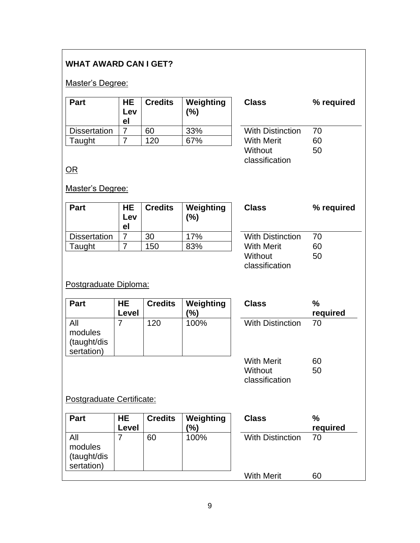## **WHAT AWARD CAN I GET?**

### Master's Degree:

| <b>Part</b>         | <b>HE</b><br>Lev<br>el | <b>Credits</b> | Weighting<br>$(\%)$ | <b>Class</b>            | ℅  |
|---------------------|------------------------|----------------|---------------------|-------------------------|----|
| <b>Dissertation</b> |                        | 60             | 33%                 | <b>With Distinction</b> | 70 |
| Taught              |                        | 120            | 67%                 | <b>With Merit</b>       | 60 |

| <b>With Distinction</b> | 70 |  |
|-------------------------|----|--|
| <b>With Merit</b>       | 60 |  |
| Without                 | 50 |  |
| classification          |    |  |

**Class % required**

OR

#### Master's Degree:

| Part                | HE<br>Lev<br>el | <b>Credits</b> | Weighting<br>$\frac{9}{6}$ | <b>Class</b>            | ℅  |
|---------------------|-----------------|----------------|----------------------------|-------------------------|----|
| <b>Dissertation</b> |                 | 30             | 17%                        | <b>With Distinction</b> | 70 |
| Taught              |                 | 150            | 83%                        | <b>With Merit</b>       | 60 |
|                     |                 |                |                            | 10545 - 11              | EΛ |

| Class            | % required |  |  |
|------------------|------------|--|--|
|                  |            |  |  |
| With Distinction | 70         |  |  |
| With Merit       | 60         |  |  |
| Without          | 50         |  |  |
| classification   |            |  |  |

# Postgraduate Diploma:

| Part                                 | HE.<br>Level | <b>Credits</b> | Weighting<br>(%) | <b>Class</b>            | ℅<br>re |
|--------------------------------------|--------------|----------------|------------------|-------------------------|---------|
| modules<br>(taught/dis<br>sertation) |              | 120            | 100%             | <b>With Distinction</b> | 70      |

| Class                   | %        |
|-------------------------|----------|
|                         | required |
| <b>With Distinction</b> | 70       |
|                         |          |
| With Merit              | 60       |
| Without                 | 50       |
| classification          |          |

## Postgraduate Certificate:

| <b>Part</b>                                 | <b>HE</b><br>Level | <b>Credits</b> | Weighting<br>(%) | <b>Class</b>            | %<br>required |
|---------------------------------------------|--------------------|----------------|------------------|-------------------------|---------------|
| All<br>modules<br>(taught/dis<br>sertation) |                    | 60             | 100%             | <b>With Distinction</b> | 70            |
|                                             |                    |                |                  | <b>With Merit</b>       | 60            |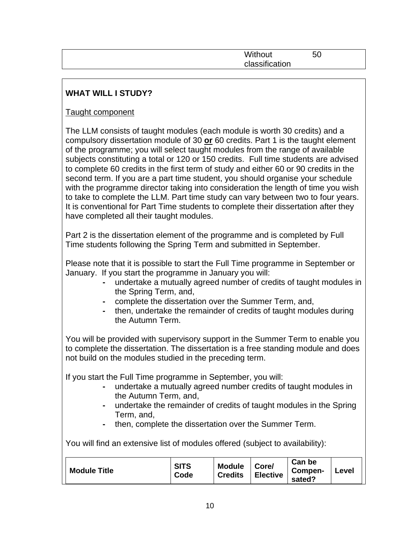| Without        | 50 |  |
|----------------|----|--|
| classification |    |  |
|                |    |  |

# **WHAT WILL I STUDY?**

### Taught component

The LLM consists of taught modules (each module is worth 30 credits) and a compulsory dissertation module of 30 **or** 60 credits. Part 1 is the taught element of the programme; you will select taught modules from the range of available subjects constituting a total or 120 or 150 credits. Full time students are advised to complete 60 credits in the first term of study and either 60 or 90 credits in the second term. If you are a part time student, you should organise your schedule with the programme director taking into consideration the length of time you wish to take to complete the LLM. Part time study can vary between two to four years. It is conventional for Part Time students to complete their dissertation after they have completed all their taught modules.

Part 2 is the dissertation element of the programme and is completed by Full Time students following the Spring Term and submitted in September.

Please note that it is possible to start the Full Time programme in September or January. If you start the programme in January you will:

- **-** undertake a mutually agreed number of credits of taught modules in the Spring Term, and,
- **-** complete the dissertation over the Summer Term, and,
- **-** then, undertake the remainder of credits of taught modules during the Autumn Term.

You will be provided with supervisory support in the Summer Term to enable you to complete the dissertation. The dissertation is a free standing module and does not build on the modules studied in the preceding term.

If you start the Full Time programme in September, you will:

- **-** undertake a mutually agreed number credits of taught modules in the Autumn Term, and,
- **-** undertake the remainder of credits of taught modules in the Spring Term, and,
- **-** then, complete the dissertation over the Summer Term.

You will find an extensive list of modules offered (subject to availability):

| <b>Module Title</b> | <b>SITS</b><br>Code | <b>Module</b><br><b>Credits</b> | Core/<br><b>Elective</b> | Can be<br>Compen-<br>sated? | Level |  |
|---------------------|---------------------|---------------------------------|--------------------------|-----------------------------|-------|--|
|---------------------|---------------------|---------------------------------|--------------------------|-----------------------------|-------|--|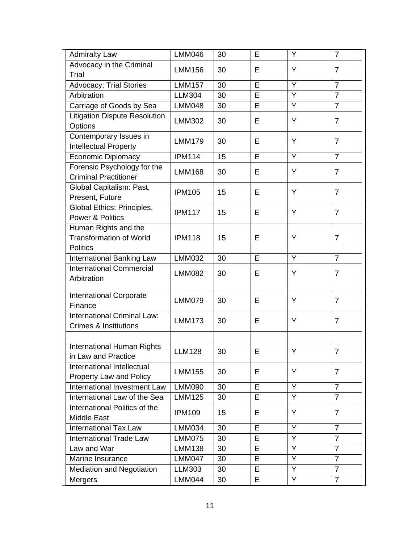| Advocacy in the Criminal<br>Y<br><b>LMM156</b><br>30<br>E<br>$\overline{7}$<br>Trial<br>$\overline{7}$<br>E<br>Y<br><b>Advocacy: Trial Stories</b><br><b>LMM157</b><br>30<br>Y<br>$\overline{7}$<br>Arbitration<br>E<br><b>LLM304</b><br>30<br>$\overline{Y}$<br>E<br>$\overline{7}$<br>Carriage of Goods by Sea<br><b>LMM048</b><br>30 |
|-----------------------------------------------------------------------------------------------------------------------------------------------------------------------------------------------------------------------------------------------------------------------------------------------------------------------------------------|
|                                                                                                                                                                                                                                                                                                                                         |
|                                                                                                                                                                                                                                                                                                                                         |
|                                                                                                                                                                                                                                                                                                                                         |
|                                                                                                                                                                                                                                                                                                                                         |
|                                                                                                                                                                                                                                                                                                                                         |
| <b>Litigation Dispute Resolution</b>                                                                                                                                                                                                                                                                                                    |
| Y<br><b>LMM302</b><br>30<br>E<br>$\overline{7}$<br>Options                                                                                                                                                                                                                                                                              |
| Contemporary Issues in                                                                                                                                                                                                                                                                                                                  |
| Y<br><b>LMM179</b><br>30<br>E<br>$\overline{7}$<br>Intellectual Property                                                                                                                                                                                                                                                                |
| <b>IPM114</b><br>E<br>Y<br><b>Economic Diplomacy</b><br>$\overline{7}$<br>15                                                                                                                                                                                                                                                            |
| Forensic Psychology for the                                                                                                                                                                                                                                                                                                             |
| Y<br>$\overline{7}$<br><b>LMM168</b><br>30<br>Е<br><b>Criminal Practitioner</b>                                                                                                                                                                                                                                                         |
| Global Capitalism: Past,                                                                                                                                                                                                                                                                                                                |
| Y<br>E<br>$\overline{7}$<br><b>IPM105</b><br>15<br>Present, Future                                                                                                                                                                                                                                                                      |
| Global Ethics: Principles,                                                                                                                                                                                                                                                                                                              |
| E<br>15<br>Y<br>$\overline{7}$<br><b>IPM117</b><br><b>Power &amp; Politics</b>                                                                                                                                                                                                                                                          |
| Human Rights and the                                                                                                                                                                                                                                                                                                                    |
| <b>Transformation of World</b><br><b>IPM118</b><br>15<br>E<br>Y<br>$\overline{7}$                                                                                                                                                                                                                                                       |
| <b>Politics</b>                                                                                                                                                                                                                                                                                                                         |
| Y<br>$\overline{7}$<br>30<br>E<br>International Banking Law<br><b>LMM032</b>                                                                                                                                                                                                                                                            |
| <b>International Commercial</b>                                                                                                                                                                                                                                                                                                         |
| 30<br>E<br>Y<br>$\overline{7}$<br><b>LMM082</b><br>Arbitration                                                                                                                                                                                                                                                                          |
|                                                                                                                                                                                                                                                                                                                                         |
| <b>International Corporate</b>                                                                                                                                                                                                                                                                                                          |
| Y<br>$\overline{7}$<br><b>LMM079</b><br>30<br>E<br>Finance                                                                                                                                                                                                                                                                              |
| <b>International Criminal Law:</b><br>E<br>Y<br>$\overline{7}$                                                                                                                                                                                                                                                                          |
| <b>LMM173</b><br>30<br><b>Crimes &amp; Institutions</b>                                                                                                                                                                                                                                                                                 |
|                                                                                                                                                                                                                                                                                                                                         |
| International Human Rights                                                                                                                                                                                                                                                                                                              |
| 30<br>E<br>Υ<br><b>LLM128</b><br>$\overline{7}$<br>in Law and Practice                                                                                                                                                                                                                                                                  |
| International Intellectual                                                                                                                                                                                                                                                                                                              |
| <b>LMM155</b><br>30<br>Е<br>Y<br>$\overline{7}$<br>Property Law and Policy                                                                                                                                                                                                                                                              |
| $\overline{Y}$<br>E<br>$\overline{7}$<br><b>LMM090</b><br>International Investment Law<br>30                                                                                                                                                                                                                                            |
| E<br>Y<br>$\overline{7}$<br>International Law of the Sea<br><b>LMM125</b><br>30                                                                                                                                                                                                                                                         |
| International Politics of the                                                                                                                                                                                                                                                                                                           |
| E<br>Y<br><b>IPM109</b><br>15<br>$\overline{7}$<br><b>Middle East</b>                                                                                                                                                                                                                                                                   |
| Y<br><b>International Tax Law</b><br><b>LMM034</b><br>E<br>$\overline{7}$<br>30                                                                                                                                                                                                                                                         |
| <b>International Trade Law</b><br><b>LMM075</b><br>Y<br>30<br>Е<br>$\overline{7}$                                                                                                                                                                                                                                                       |
| Υ<br>$\overline{7}$<br>Law and War<br><b>LMM138</b><br>E<br>30                                                                                                                                                                                                                                                                          |
| LMM047<br>Y<br>Marine Insurance<br>30<br>Е<br>$\overline{7}$                                                                                                                                                                                                                                                                            |
| Y<br><b>LLM303</b><br>$\overline{7}$<br>E<br><b>Mediation and Negotiation</b><br>30                                                                                                                                                                                                                                                     |
| <b>LMM044</b><br>Y<br>Е<br>$\overline{7}$<br><b>Mergers</b><br>30                                                                                                                                                                                                                                                                       |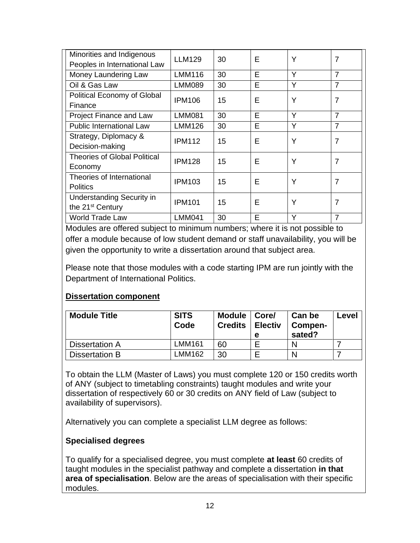| Minorities and Indigenous<br>Peoples in International Law        | <b>LLM129</b> | 30 | E | Υ | 7              |
|------------------------------------------------------------------|---------------|----|---|---|----------------|
| Money Laundering Law                                             | <b>LMM116</b> | 30 | E | Y | $\overline{7}$ |
| Oil & Gas Law                                                    | <b>LMM089</b> | 30 | E | Υ | $\overline{7}$ |
| Political Economy of Global<br>Finance                           | <b>IPM106</b> | 15 | E | Υ | $\overline{7}$ |
| Project Finance and Law                                          | <b>LMM081</b> | 30 | E | Y | $\overline{7}$ |
| <b>Public International Law</b>                                  | <b>LMM126</b> | 30 | E | Y | $\overline{7}$ |
| Strategy, Diplomacy &<br>Decision-making                         | <b>IPM112</b> | 15 | E | Υ | 7              |
| <b>Theories of Global Political</b><br>Economy                   | <b>IPM128</b> | 15 | E | Υ | $\overline{7}$ |
| Theories of International<br><b>Politics</b>                     | <b>IPM103</b> | 15 | F | Υ | $\overline{7}$ |
| <b>Understanding Security in</b><br>the 21 <sup>st</sup> Century | <b>IPM101</b> | 15 | F | Υ | 7              |
| <b>World Trade Law</b>                                           | <b>LMM041</b> | 30 | E | Y | $\overline{7}$ |

Modules are offered subject to minimum numbers; where it is not possible to offer a module because of low student demand or staff unavailability, you will be given the opportunity to write a dissertation around that subject area.

Please note that those modules with a code starting IPM are run jointly with the Department of International Politics.

### **Dissertation component**

| <b>Module Title</b> | <b>SITS</b><br>Code | <b>Module</b><br><b>Credits</b> | Core/<br><b>Electiv</b><br>е | Can be<br>Compen-<br>sated? | Level |
|---------------------|---------------------|---------------------------------|------------------------------|-----------------------------|-------|
| Dissertation A      | LMM161              | 60                              |                              |                             |       |
| Dissertation B      | MM162               | 30                              |                              |                             |       |

To obtain the LLM (Master of Laws) you must complete 120 or 150 credits worth of ANY (subject to timetabling constraints) taught modules and write your dissertation of respectively 60 or 30 credits on ANY field of Law (subject to availability of supervisors).

Alternatively you can complete a specialist LLM degree as follows:

## **Specialised degrees**

To qualify for a specialised degree, you must complete **at least** 60 credits of taught modules in the specialist pathway and complete a dissertation **in that area of specialisation**. Below are the areas of specialisation with their specific modules.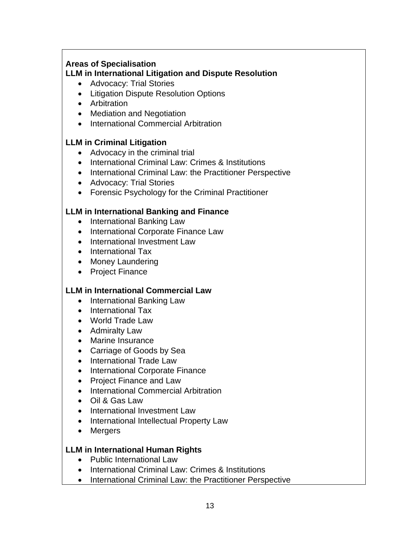### **Areas of Specialisation**

## **LLM in International Litigation and Dispute Resolution**

- Advocacy: Trial Stories
- Litigation Dispute Resolution Options
- Arbitration
- Mediation and Negotiation
- International Commercial Arbitration

### **LLM in Criminal Litigation**

- Advocacy in the criminal trial
- International Criminal Law: Crimes & Institutions
- International Criminal Law: the Practitioner Perspective
- Advocacy: Trial Stories
- Forensic Psychology for the Criminal Practitioner

### **LLM in International Banking and Finance**

- International Banking Law
- International Corporate Finance Law
- International Investment Law
- International Tax
- Money Laundering
- Project Finance

#### **LLM in International Commercial Law**

- International Banking Law
- International Tax
- World Trade Law
- Admiralty Law
- Marine Insurance
- Carriage of Goods by Sea
- International Trade Law
- International Corporate Finance
- Project Finance and Law
- International Commercial Arbitration
- Oil & Gas Law
- International Investment Law
- International Intellectual Property Law
- Mergers

### **LLM in International Human Rights**

- Public International Law
- International Criminal Law: Crimes & Institutions
- International Criminal Law: the Practitioner Perspective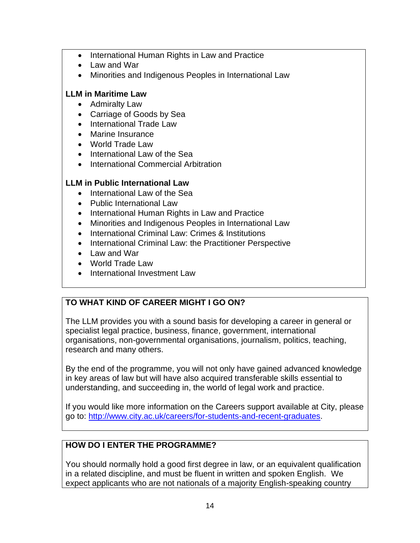- International Human Rights in Law and Practice
- Law and War
- Minorities and Indigenous Peoples in International Law

## **LLM in Maritime Law**

- Admiralty Law
- Carriage of Goods by Sea
- International Trade Law
- Marine Insurance
- World Trade Law
- International Law of the Sea
- International Commercial Arbitration

## **LLM in Public International Law**

- International Law of the Sea
- Public International Law
- International Human Rights in Law and Practice
- Minorities and Indigenous Peoples in International Law
- International Criminal Law: Crimes & Institutions
- International Criminal Law: the Practitioner Perspective
- Law and War
- World Trade Law
- International Investment Law

# **TO WHAT KIND OF CAREER MIGHT I GO ON?**

The LLM provides you with a sound basis for developing a career in general or specialist legal practice, business, finance, government, international organisations, non-governmental organisations, journalism, politics, teaching, research and many others.

By the end of the programme, you will not only have gained advanced knowledge in key areas of law but will have also acquired transferable skills essential to understanding, and succeeding in, the world of legal work and practice.

If you would like more information on the Careers support available at City, please go to: http://www.city.ac.uk/careers/for-students-and-recent-graduates.

# **HOW DO I ENTER THE PROGRAMME?**

You should normally hold a good first degree in law, or an equivalent qualification in a related discipline, and must be fluent in written and spoken English. We expect applicants who are not nationals of a majority English-speaking country